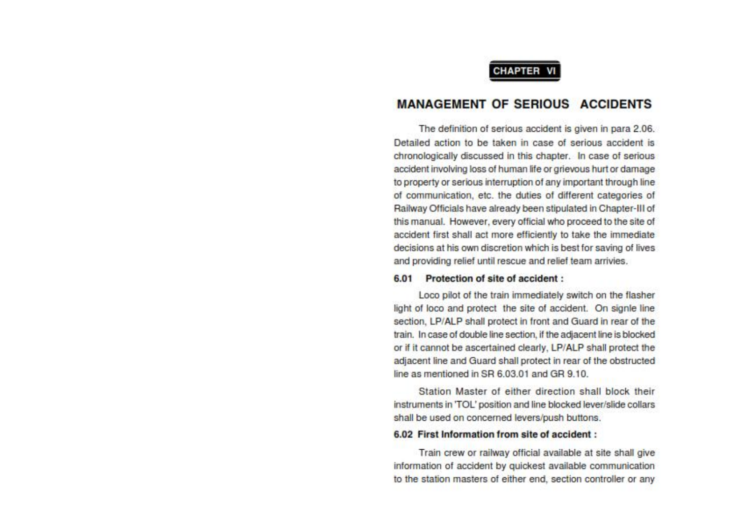### **CHAPTER VI**

### **MANAGEMENT OF SERIOUS ACCIDENTS**

The definition of serious accident is given in para 2.06. Detailed action to be taken in case of serious accident is chronologically discussed in this chapter. In case of serious accident involving loss of human life or grievous hurt or damage to property or serious interruption of any important through line of communication, etc. the duties of different categories of Railway Officials have already been stipulated in Chapter-III of this manual. However, every official who proceed to the site of accident first shall act more efficiently to take the immediate decisions at his own discretion which is best for saving of lives and providing relief until rescue and relief team arrivies.

#### 6.01 Protection of site of accident:

Loco pilot of the train immediately switch on the flasher light of loco and protect the site of accident. On signle line section, LP/ALP shall protect in front and Guard in rear of the train. In case of double line section, if the adjacent line is blocked or if it cannot be ascertained clearly, LP/ALP shall protect the adiacent line and Guard shall protect in rear of the obstructed line as mentioned in SR 6.03.01 and GR 9.10.

Station Master of either direction shall block their instruments in 'TOL' position and line blocked lever/slide collars shall be used on concerned levers/push buttons.

#### 6.02 First Information from site of accident:

Train crew or railway official available at site shall give information of accident by quickest available communication to the station masters of either end, section controller or any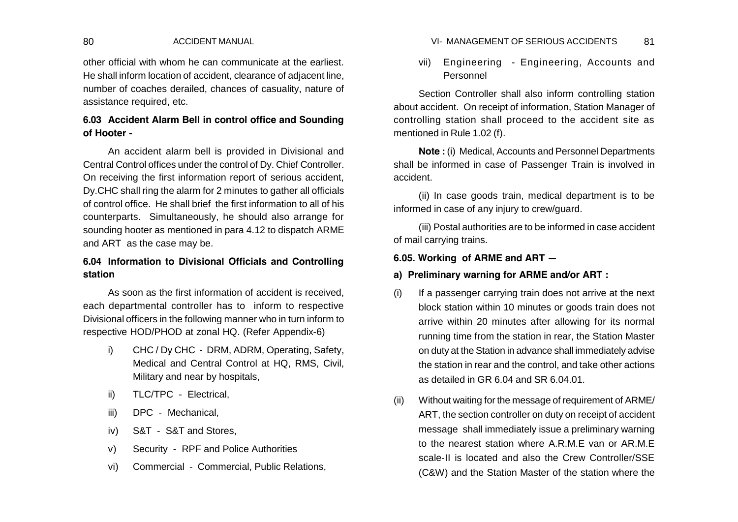other official with whom he can communicate at the earliest. He shall inform location of accident, clearance of adjacent line, number of coaches derailed, chances of casuality, nature of assistance required, etc.

# **6.03 Accident Alarm Bell in control office and Sounding of Hooter -**

An accident alarm bell is provided in Divisional and Central Control offices under the control of Dy. Chief Controller. On receiving the first information report of serious accident, Dy.CHC shall ring the alarm for 2 minutes to gather all officials of control office. He shall brief the first information to all of his counterparts. Simultaneously, he should also arrange for sounding hooter as mentioned in para 4.12 to dispatch ARME and ART as the case may be.

# **6.04 Information to Divisional Officials and Controlling station**

As soon as the first information of accident is received each departmental controller has to inform to respective Divisional officers in the following manner who in turn inform to respective HOD/PHOD at zonal HQ. (Refer Appendix-6)

- i) CHC / Dy CHC DRM, ADRM, Operating, Safety, Medical and Central Control at HQ, RMS, Civil, Military and near by hospitals,
- ii) TLC/TPC Electrical,
- iii) DPC Mechanical,
- iv) S&T S&T and Stores,
- v) Security RPF and Police Authorities
- vi) Commercial Commercial, Public Relations,

### 80 ACCIDENT MANUAL 81 VI- MANAGEMENT OF SERIOUS ACCIDENTS

vii) Engineering - Engineering, Accounts and Personnel

Section Controller shall also inform controlling station about accident. On receipt of information, Station Manager of controlling station shall proceed to the accident site as mentioned in Rule 1.02 (f).

**Note :** (i) Medical, Accounts and Personnel Departments shall be informed in case of Passenger Train is involved in accident.

(ii) In case goods train, medical department is to be informed in case of any injury to crew/guard.

(iii) Postal authorities are to be informed in case accident of mail carrying trains.

### **6.05. Working of ARME and ART —**

## **a) Preliminary warning for ARME and/or ART :**

- (i) If a passenger carrying train does not arrive at the next block station within 10 minutes or goods train does not arrive within 20 minutes after allowing for its normal running time from the station in rear, the Station Master on duty at the Station in advance shall immediately advise the station in rear and the control, and take other actions as detailed in GR 6.04 and SR 6.04.01.
- (ii) Without waiting for the message of requirement of ARME/ ART, the section controller on duty on receipt of accident message shall immediately issue a preliminary warning to the nearest station where A.R.M.E van or AR.M.E scale-II is located and also the Crew Controller/SSE (C&W) and the Station Master of the station where the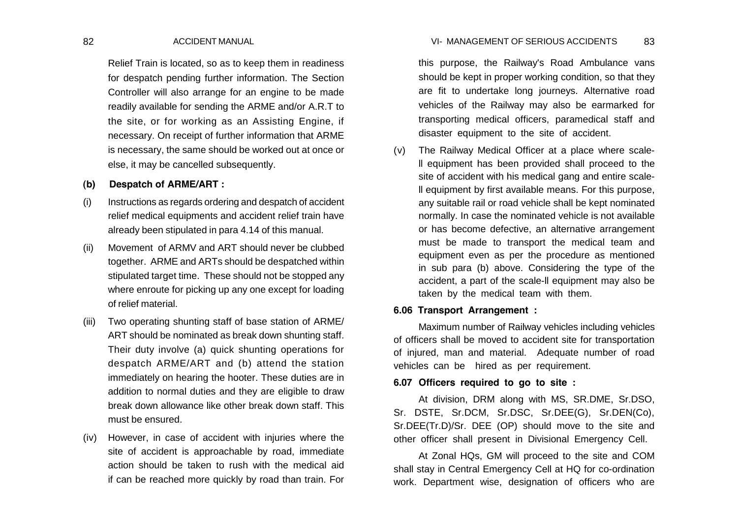Relief Train is located, so as to keep them in readiness for despatch pending further information. The Section Controller will also arrange for an engine to be made readily available for sending the ARME and/or A.R.T to the site, or for working as an Assisting Engine, if necessary. On receipt of further information that ARME is necessary, the same should be worked out at once or else, it may be cancelled subsequently.

## **(b) Despatch of ARME/ART :**

- (i) Instructions as regards ordering and despatch of accident relief medical equipments and accident relief train have already been stipulated in para 4.14 of this manual.
- (ii) Movement of ARMV and ART should never be clubbed together. ARME and ARTs should be despatched within stipulated target time. These should not be stopped any where enroute for picking up any one except for loading of relief material.
- (iii) Two operating shunting staff of base station of ARME/ ART should be nominated as break down shunting staff. Their duty involve (a) quick shunting operations for despatch ARME/ART and (b) attend the station immediately on hearing the hooter. These duties are in addition to normal duties and they are eligible to draw break down allowance like other break down staff. This must be ensured.
- (iv) However, in case of accident with injuries where the site of accident is approachable by road, immediate action should be taken to rush with the medical aid if can be reached more quickly by road than train. For

82 ACCIDENT MANUAL 83 VI- MANAGEMENT OF SERIOUS ACCIDENTS

this purpose, the Railway's Road Ambulance vans should be kept in proper working condition, so that they are fit to undertake long journeys. Alternative road vehicles of the Railway may also be earmarked for transporting medical officers, paramedical staff and disaster equipment to the site of accident.

(v) The Railway Medical Officer at a place where scalell equipment has been provided shall proceed to the site of accident with his medical gang and entire scalell equipment by first available means. For this purpose, any suitable rail or road vehicle shall be kept nominated normally. In case the nominated vehicle is not available or has become defective, an alternative arrangement must be made to transport the medical team and equipment even as per the procedure as mentioned in sub para (b) above. Considering the type of the accident, a part of the scale-ll equipment may also be taken by the medical team with them.

### **6.06 Transport Arrangement :**

Maximum number of Railway vehicles including vehicles of officers shall be moved to accident site for transportation of injured, man and material. Adequate number of road vehicles can be hired as per requirement.

## **6.07 Officers required to go to site :**

At division, DRM along with MS, SR.DME, Sr.DSO, Sr. DSTE, Sr.DCM, Sr.DSC, Sr.DEE(G), Sr.DEN(Co), Sr.DEE(Tr.D)/Sr. DEE (OP) should move to the site and other officer shall present in Divisional Emergency Cell.

At Zonal HQs, GM will proceed to the site and COM shall stay in Central Emergency Cell at HQ for co-ordination work. Department wise, designation of officers who are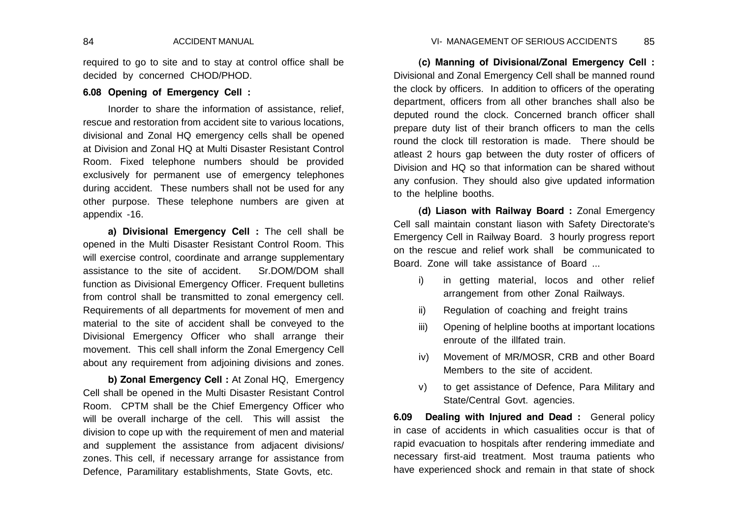required to go to site and to stay at control office shall be decided by concerned CHOD/PHOD.

## **6.08 Opening of Emergency Cell :**

Inorder to share the information of assistance, relief, rescue and restoration from accident site to various locations, divisional and Zonal HQ emergency cells shall be opened at Division and Zonal HQ at Multi Disaster Resistant Control Room. Fixed telephone numbers should be provided exclusively for permanent use of emergency telephones during accident. These numbers shall not be used for any other purpose. These telephone numbers are given at appendix -16.

**a) Divisional Emergency Cell :** The cell shall be opened in the Multi Disaster Resistant Control Room. This will exercise control, coordinate and arrange supplementary assistance to the site of accident. Sr.DOM/DOM shall function as Divisional Emergency Officer. Frequent bulletins from control shall be transmitted to zonal emergency cell. Requirements of all departments for movement of men and material to the site of accident shall be conveyed to the Divisional Emergency Officer who shall arrange their movement. This cell shall inform the Zonal Emergency Cell about any requirement from adjoining divisions and zones.

**b) Zonal Emergency Cell :** At Zonal HQ, Emergency Cell shall be opened in the Multi Disaster Resistant Control Room. CPTM shall be the Chief Emergency Officer who will be overall incharge of the cell. This will assist the division to cope up with the requirement of men and material and supplement the assistance from adjacent divisions/ zones. This cell, if necessary arrange for assistance from Defence, Paramilitary establishments, State Govts, etc.

**(c) Manning of Divisional/Zonal Emergency Cell :** Divisional and Zonal Emergency Cell shall be manned round the clock by officers. In addition to officers of the operating department, officers from all other branches shall also be deputed round the clock. Concerned branch officer shall prepare duty list of their branch officers to man the cells round the clock till restoration is made. There should be atleast 2 hours gap between the duty roster of officers of Division and HQ so that information can be shared without any confusion. They should also give updated information to the helpline booths.

**(d) Liason with Railway Board :** Zonal Emergency Cell sall maintain constant liason with Safety Directorate's Emergency Cell in Railway Board. 3 hourly progress report on the rescue and relief work shall be communicated to Board. Zone will take assistance of Board ...

- i) in getting material, locos and other relief arrangement from other Zonal Railways.
- ii) Regulation of coaching and freight trains
- iii) Opening of helpline booths at important locations enroute of the illfated train.
- iv) Movement of MR/MOSR, CRB and other Board Members to the site of accident.
- v) to get assistance of Defence, Para Military and State/Central Govt. agencies.

**6.09 Dealing with Injured and Dead :** General policy in case of accidents in which casualities occur is that of rapid evacuation to hospitals after rendering immediate and necessary first-aid treatment. Most trauma patients who have experienced shock and remain in that state of shock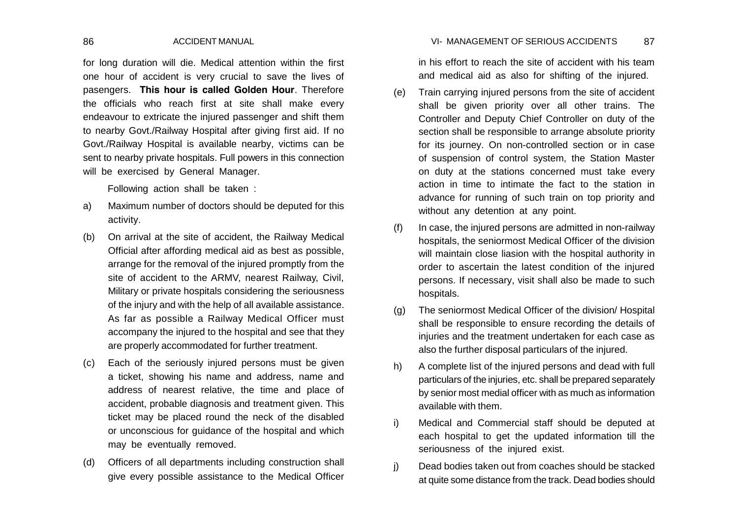### 86 ACCIDENT MANUAL 87 VI- MANAGEMENT OF SERIOUS ACCIDENTS

for long duration will die. Medical attention within the first one hour of accident is very crucial to save the lives of pasengers. **This hour is called Golden Hour**. Therefore the officials who reach first at site shall make every endeavour to extricate the injured passenger and shift them to nearby Govt./Railway Hospital after giving first aid. If no Govt./Railway Hospital is available nearby, victims can be sent to nearby private hospitals. Full powers in this connection will be exercised by General Manager.

Following action shall be taken :

- a) Maximum number of doctors should be deputed for this activity.
- (b) On arrival at the site of accident, the Railway Medical Official after affording medical aid as best as possible, arrange for the removal of the injured promptly from the site of accident to the ARMV, nearest Railway, Civil, Military or private hospitals considering the seriousness of the injury and with the help of all available assistance. As far as possible a Railway Medical Officer must accompany the injured to the hospital and see that they are properly accommodated for further treatment.
- (c) Each of the seriously injured persons must be given a ticket, showing his name and address, name and address of nearest relative, the time and place of accident, probable diagnosis and treatment given. This ticket may be placed round the neck of the disabled or unconscious for guidance of the hospital and which may be eventually removed.
- (d) Officers of all departments including construction shall give every possible assistance to the Medical Officer

in his effort to reach the site of accident with his team and medical aid as also for shifting of the injured.

- (e) Train carrying injured persons from the site of accident shall be given priority over all other trains. The Controller and Deputy Chief Controller on duty of the section shall be responsible to arrange absolute priority for its journey. On non-controlled section or in case of suspension of control system, the Station Master on duty at the stations concerned must take every action in time to intimate the fact to the station in advance for running of such train on top priority and without any detention at any point.
- $(f)$  In case, the injured persons are admitted in non-railway hospitals, the seniormost Medical Officer of the division will maintain close liasion with the hospital authority in order to ascertain the latest condition of the injured persons. If necessary, visit shall also be made to such hospitals.
- (g) The seniormost Medical Officer of the division/ Hospital shall be responsible to ensure recording the details of injuries and the treatment undertaken for each case as also the further disposal particulars of the injured.
- h) A complete list of the injured persons and dead with full particulars of the injuries, etc. shall be prepared separately by senior most medial officer with as much as information available with them.
- i) Medical and Commercial staff should be deputed at each hospital to get the updated information till the seriousness of the injured exist.
- j) Dead bodies taken out from coaches should be stacked at quite some distance from the track. Dead bodies should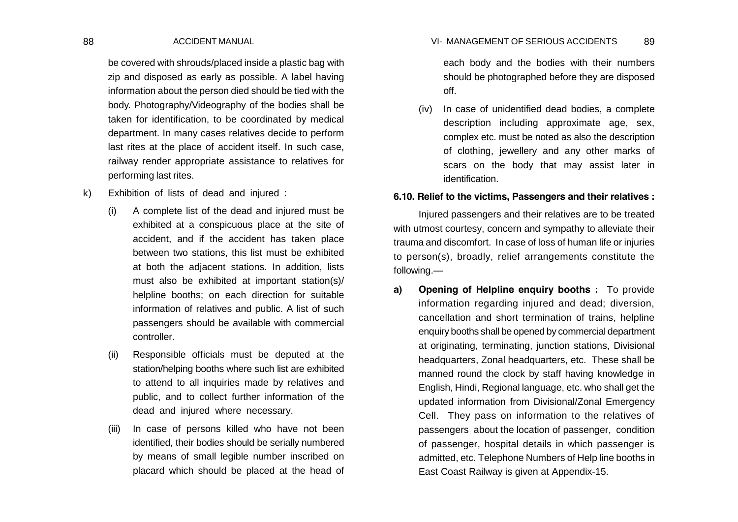be covered with shrouds/placed inside a plastic bag with zip and disposed as early as possible. A label having information about the person died should be tied with the body. Photography/Videography of the bodies shall be taken for identification, to be coordinated by medical department. In many cases relatives decide to perform last rites at the place of accident itself. In such case, railway render appropriate assistance to relatives for performing last rites.

- k) Exhibition of lists of dead and injured :
	- (i) A complete list of the dead and injured must be exhibited at a conspicuous place at the site of accident, and if the accident has taken place between two stations, this list must be exhibited at both the adjacent stations. In addition, lists must also be exhibited at important station(s)/ helpline booths; on each direction for suitable information of relatives and public. A list of such passengers should be available with commercial controller.
	- (ii) Responsible officials must be deputed at the station/helping booths where such list are exhibited to attend to all inquiries made by relatives and public, and to collect further information of the dead and injured where necessary.
	- (iii) In case of persons killed who have not been identified, their bodies should be serially numbered by means of small legible number inscribed on placard which should be placed at the head of

#### 88 ACCIDENT MANUAL 89 VI- MANAGEMENT OF SERIOUS ACCIDENTS

each body and the bodies with their numbers should be photographed before they are disposed off.

(iv) In case of unidentified dead bodies, a complete description including approximate age, sex, complex etc. must be noted as also the description of clothing, jewellery and any other marks of scars on the body that may assist later in identification.

### **6.10. Relief to the victims, Passengers and their relatives :**

Injured passengers and their relatives are to be treated with utmost courtesy, concern and sympathy to alleviate their trauma and discomfort. In case of loss of human life or injuries to person(s), broadly, relief arrangements constitute the following.—

**a) Opening of Helpline enquiry booths :** To provide information regarding injured and dead; diversion, cancellation and short termination of trains, helpline enquiry booths shall be opened by commercial department at originating, terminating, junction stations, Divisional headquarters, Zonal headquarters, etc. These shall be manned round the clock by staff having knowledge in English, Hindi, Regional language, etc. who shall get the updated information from Divisional/Zonal Emergency Cell. They pass on information to the relatives of passengers about the location of passenger, condition of passenger, hospital details in which passenger is admitted, etc. Telephone Numbers of Help line booths in East Coast Railway is given at Appendix-15.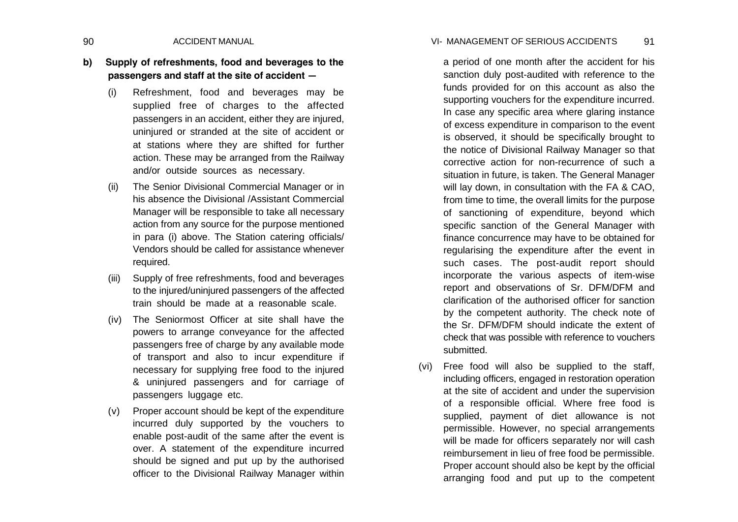### 90 ACCIDENT MANUAL VI- MANAGEMENT OF SERIOUS ACCIDENTS 91

- **b) Supply of refreshments, food and beverages to the passengers and staff at the site of accident —**
	- (i) Refreshment, food and beverages may be supplied free of charges to the affected passengers in an accident, either they are injured, uninjured or stranded at the site of accident or at stations where they are shifted for further action. These may be arranged from the Railway and/or outside sources as necessary.
	- (ii) The Senior Divisional Commercial Manager or in his absence the Divisional /Assistant Commercial Manager will be responsible to take all necessary action from any source for the purpose mentioned in para (i) above. The Station catering officials/ Vendors should be called for assistance whenever required.
	- (iii) Supply of free refreshments, food and beverages to the injured/uninjured passengers of the affected train should be made at a reasonable scale.
	- (iv) The Seniormost Officer at site shall have the powers to arrange conveyance for the affected passengers free of charge by any available mode of transport and also to incur expenditure if necessary for supplying free food to the injured & uninjured passengers and for carriage of passengers luggage etc.
	- (v) Proper account should be kept of the expenditure incurred duly supported by the vouchers to enable post-audit of the same after the event is over. A statement of the expenditure incurred should be signed and put up by the authorised officer to the Divisional Railway Manager within

a period of one month after the accident for his sanction duly post-audited with reference to the funds provided for on this account as also the supporting vouchers for the expenditure incurred. In case any specific area where glaring instance of excess expenditure in comparison to the event is observed, it should be specifically brought to the notice of Divisional Railway Manager so that corrective action for non-recurrence of such a situation in future, is taken. The General Manager will lay down, in consultation with the FA & CAO. from time to time, the overall limits for the purpose of sanctioning of expenditure, beyond which specific sanction of the General Manager with finance concurrence may have to be obtained for regularising the expenditure after the event in such cases. The post-audit report should incorporate the various aspects of item-wise report and observations of Sr. DFM/DFM and clarification of the authorised officer for sanction by the competent authority. The check note of the Sr. DFM/DFM should indicate the extent of check that was possible with reference to vouchers submitted.

(vi) Free food will also be supplied to the staff, including officers, engaged in restoration operation at the site of accident and under the supervision of a responsible official. Where free food is supplied, payment of diet allowance is not permissible. However, no special arrangements will be made for officers separately nor will cash reimbursement in lieu of free food be permissible. Proper account should also be kept by the official arranging food and put up to the competent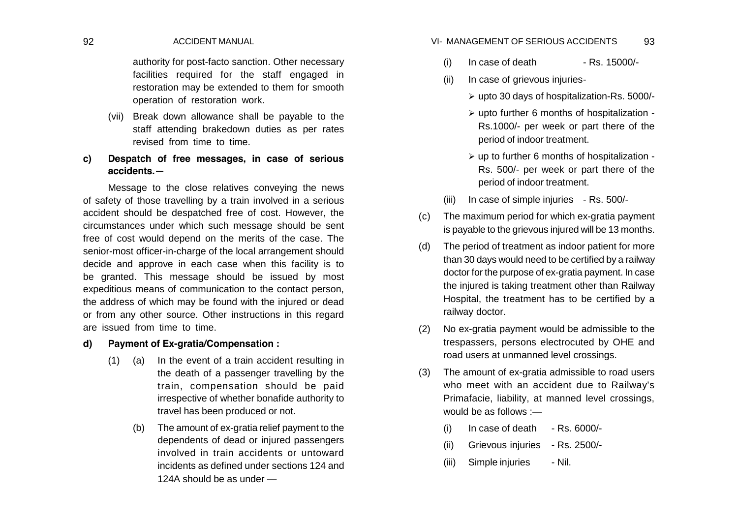authority for post-facto sanction. Other necessary facilities required for the staff engaged in restoration may be extended to them for smooth operation of restoration work.

- (vii) Break down allowance shall be payable to the staff attending brakedown duties as per rates revised from time to time.
- **c) Despatch of free messages, in case of serious accidents.—**

Message to the close relatives conveying the news of safety of those travelling by a train involved in a serious accident should be despatched free of cost. However, the circumstances under which such message should be sent free of cost would depend on the merits of the case. The senior-most officer-in-charge of the local arrangement should decide and approve in each case when this facility is to be granted. This message should be issued by most expeditious means of communication to the contact person, the address of which may be found with the injured or dead or from any other source. Other instructions in this regard are issued from time to time.

## **d) Payment of Ex-gratia/Compensation :**

- (1) (a) In the event of a train accident resulting in the death of a passenger travelling by the train, compensation should be paid irrespective of whether bonafide authority to travel has been produced or not.
	- (b) The amount of ex-gratia relief payment to the dependents of dead or injured passengers involved in train accidents or untoward incidents as defined under sections 124 and 124A should be as under —

#### 92 ACCIDENT MANUAL 93 VI- MANAGEMENT OF SERIOUS ACCIDENTS

- $(i)$  In case of death Rs. 15000/-
- (ii) In case of grievous injuries
	- upto 30 days of hospitalization-Rs. 5000/-
	- $\triangleright$  upto further 6 months of hospitalization -Rs.1000/- per week or part there of the period of indoor treatment.
	- $\triangleright$  up to further 6 months of hospitalization -Rs. 500/- per week or part there of the period of indoor treatment.
- (iii) In case of simple injuries Rs. 500/-
- (c) The maximum period for which ex-gratia payment is payable to the grievous injured will be 13 months.
- (d) The period of treatment as indoor patient for more than 30 days would need to be certified by a railway doctor for the purpose of ex-gratia payment. In case the injured is taking treatment other than Railway Hospital, the treatment has to be certified by a railway doctor.
- (2) No ex-gratia payment would be admissible to the trespassers, persons electrocuted by OHE and road users at unmanned level crossings.
- (3) The amount of ex-gratia admissible to road users who meet with an accident due to Railway's Primafacie, liability, at manned level crossings, would be as follows :—
	- $(i)$  In case of death Rs. 6000/-
	- (ii) Grievous injuries Rs. 2500/-
	- (iii) Simple injuries Nil.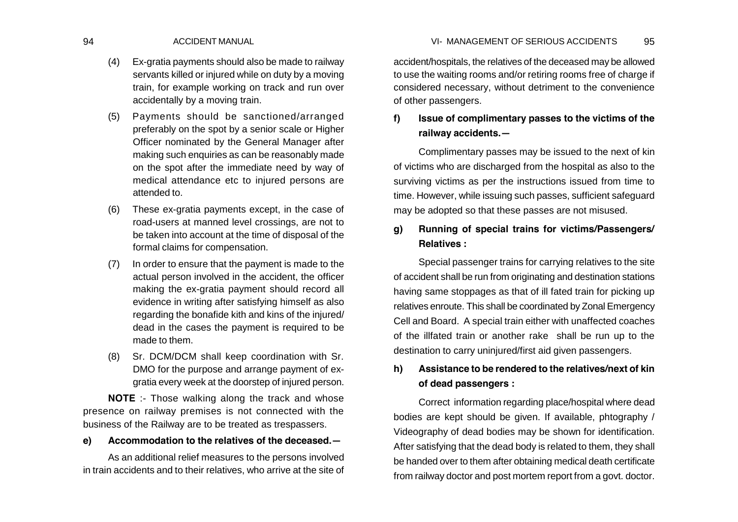- (4) Ex-gratia payments should also be made to railway servants killed or injured while on duty by a moving train, for example working on track and run over accidentally by a moving train.
- (5) Payments should be sanctioned/arranged preferably on the spot by a senior scale or Higher Officer nominated by the General Manager after making such enquiries as can be reasonably made on the spot after the immediate need by way of medical attendance etc to injured persons are attended to.
- (6) These ex-gratia payments except, in the case of road-users at manned level crossings, are not to be taken into account at the time of disposal of the formal claims for compensation.
- (7) In order to ensure that the payment is made to the actual person involved in the accident, the officer making the ex-gratia payment should record all evidence in writing after satisfying himself as also regarding the bonafide kith and kins of the injured/ dead in the cases the payment is required to be made to them.
- (8) Sr. DCM/DCM shall keep coordination with Sr. DMO for the purpose and arrange payment of exgratia every week at the doorstep of injured person.

**NOTE** :- Those walking along the track and whose presence on railway premises is not connected with the business of the Railway are to be treated as trespassers.

### **e) Accommodation to the relatives of the deceased.—**

As an additional relief measures to the persons involved in train accidents and to their relatives, who arrive at the site of accident/hospitals, the relatives of the deceased may be allowed to use the waiting rooms and/or retiring rooms free of charge if considered necessary, without detriment to the convenience of other passengers.

# **f) Issue of complimentary passes to the victims of the railway accidents.—**

Complimentary passes may be issued to the next of kin of victims who are discharged from the hospital as also to the surviving victims as per the instructions issued from time to time. However, while issuing such passes, sufficient safeguard may be adopted so that these passes are not misused.

# **g) Running of special trains for victims/Passengers/ Relatives :**

Special passenger trains for carrying relatives to the site of accident shall be run from originating and destination stations having same stoppages as that of ill fated train for picking up relatives enroute. This shall be coordinated by Zonal Emergency Cell and Board. A special train either with unaffected coaches of the illfated train or another rake shall be run up to the destination to carry uninjured/first aid given passengers.

# **h) Assistance to be rendered to the relatives/next of kin of dead passengers :**

Correct information regarding place/hospital where dead bodies are kept should be given. If available, phtography / Videography of dead bodies may be shown for identification. After satisfying that the dead body is related to them, they shall be handed over to them after obtaining medical death certificate from railway doctor and post mortem report from a govt. doctor.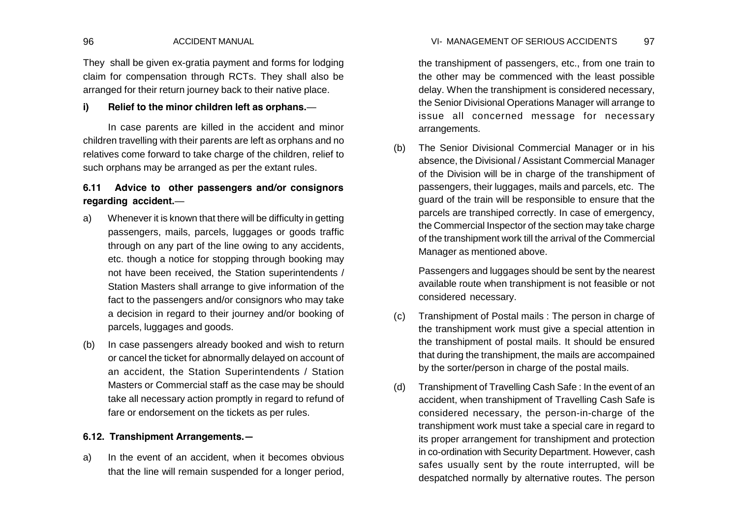They shall be given ex-gratia payment and forms for lodging claim for compensation through RCTs. They shall also be arranged for their return journey back to their native place.

## **i) Relief to the minor children left as orphans.**—

In case parents are killed in the accident and minor children travelling with their parents are left as orphans and no relatives come forward to take charge of the children, relief to such orphans may be arranged as per the extant rules.

# **6.11 Advice to other passengers and/or consignors regarding accident.**—

- a) Whenever it is known that there will be difficulty in getting passengers, mails, parcels, luggages or goods traffic through on any part of the line owing to any accidents, etc. though a notice for stopping through booking may not have been received, the Station superintendents / Station Masters shall arrange to give information of the fact to the passengers and/or consignors who may take a decision in regard to their journey and/or booking of parcels, luggages and goods.
- (b) In case passengers already booked and wish to return or cancel the ticket for abnormally delayed on account of an accident, the Station Superintendents / Station Masters or Commercial staff as the case may be should take all necessary action promptly in regard to refund of fare or endorsement on the tickets as per rules.

## **6.12. Transhipment Arrangements.—**

a) In the event of an accident, when it becomes obvious that the line will remain suspended for a longer period,

the transhipment of passengers, etc., from one train to the other may be commenced with the least possible delay. When the transhipment is considered necessary, the Senior Divisional Operations Manager will arrange to issue all concerned message for necessary arrangements.

(b) The Senior Divisional Commercial Manager or in his absence, the Divisional / Assistant Commercial Manager of the Division will be in charge of the transhipment of passengers, their luggages, mails and parcels, etc. The guard of the train will be responsible to ensure that the parcels are transhiped correctly. In case of emergency, the Commercial Inspector of the section may take charge of the transhipment work till the arrival of the Commercial Manager as mentioned above.

Passengers and luggages should be sent by the nearest available route when transhipment is not feasible or not considered necessary.

- (c) Transhipment of Postal mails : The person in charge of the transhipment work must give a special attention in the transhipment of postal mails. It should be ensured that during the transhipment, the mails are accompained by the sorter/person in charge of the postal mails.
- (d) Transhipment of Travelling Cash Safe : In the event of an accident, when transhipment of Travelling Cash Safe is considered necessary, the person-in-charge of the transhipment work must take a special care in regard to its proper arrangement for transhipment and protection in co-ordination with Security Department. However, cash safes usually sent by the route interrupted, will be despatched normally by alternative routes. The person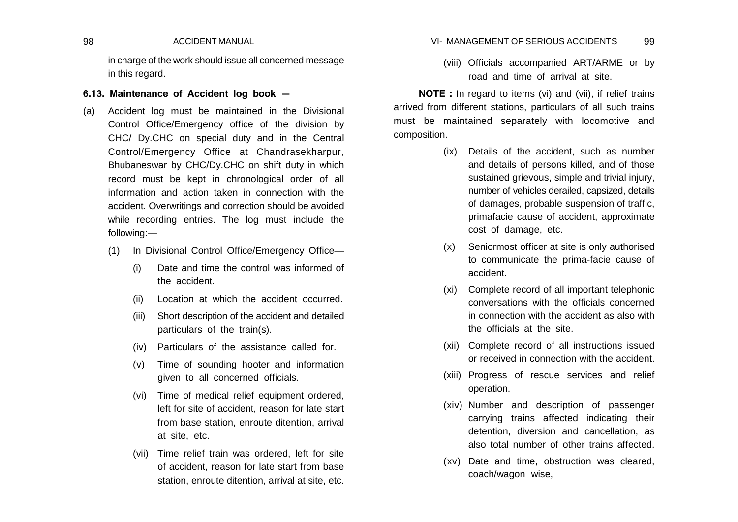in charge of the work should issue all concerned message in this regard.

## **6.13. Maintenance of Accident log book —**

- (a) Accident log must be maintained in the Divisional Control Office/Emergency office of the division by CHC/ Dy.CHC on special duty and in the Central Control/Emergency Office at Chandrasekharpur, Bhubaneswar by CHC/Dy.CHC on shift duty in which record must be kept in chronological order of all information and action taken in connection with the accident. Overwritings and correction should be avoided while recording entries. The log must include the following:—
	- (1) In Divisional Control Office/Emergency Office—
		- (i) Date and time the control was informed of the accident.
		- (ii) Location at which the accident occurred.
		- (iii) Short description of the accident and detailed particulars of the train(s).
		- (iv) Particulars of the assistance called for.
		- (v) Time of sounding hooter and information given to all concerned officials.
		- (vi) Time of medical relief equipment ordered, left for site of accident, reason for late start from base station, enroute ditention, arrival at site, etc.
		- (vii) Time relief train was ordered, left for site of accident, reason for late start from base station, enroute ditention, arrival at site, etc.

#### 98 ACCIDENT MANUAL 99 VI- MANAGEMENT OF SERIOUS ACCIDENTS

(viii) Officials accompanied ART/ARME or by road and time of arrival at site.

**NOTE :** In regard to items (vi) and (vii), if relief trains arrived from different stations, particulars of all such trains must be maintained separately with locomotive and composition.

- (ix) Details of the accident, such as number and details of persons killed, and of those sustained grievous, simple and trivial injury, number of vehicles derailed, capsized, details of damages, probable suspension of traffic, primafacie cause of accident, approximate cost of damage, etc.
- (x) Seniormost officer at site is only authorised to communicate the prima-facie cause of accident.
- (xi) Complete record of all important telephonic conversations with the officials concerned in connection with the accident as also with the officials at the site.
- (xii) Complete record of all instructions issued or received in connection with the accident.
- (xiii) Progress of rescue services and relief operation.
- (xiv) Number and description of passenger carrying trains affected indicating their detention, diversion and cancellation, as also total number of other trains affected.
- (xv) Date and time, obstruction was cleared, coach/wagon wise,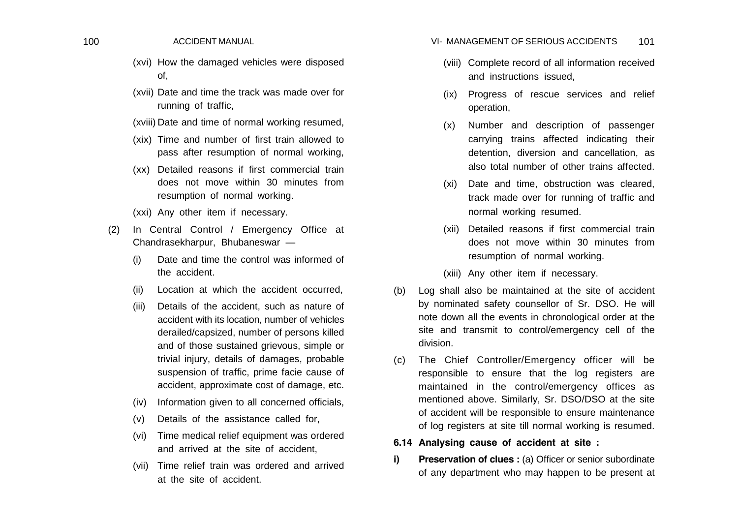- (xvi) How the damaged vehicles were disposed of,
- (xvii) Date and time the track was made over for running of traffic,
- (xviii) Date and time of normal working resumed,
- (xix) Time and number of first train allowed to pass after resumption of normal working,
- (xx) Detailed reasons if first commercial train does not move within 30 minutes from resumption of normal working.
- (xxi) Any other item if necessary.
- (2) In Central Control / Emergency Office at Chandrasekharpur, Bhubaneswar —
	- (i) Date and time the control was informed of the accident.
	- (ii) Location at which the accident occurred,
	- (iii) Details of the accident, such as nature of accident with its location, number of vehicles derailed/capsized, number of persons killed and of those sustained grievous, simple or trivial injury, details of damages, probable suspension of traffic, prime facie cause of accident, approximate cost of damage, etc.
	- (iv) Information given to all concerned officials,
	- (v) Details of the assistance called for,
	- (vi) Time medical relief equipment was ordered and arrived at the site of accident,
	- (vii) Time relief train was ordered and arrived at the site of accident.

#### 100 ACCIDENT MANUAL **100** ACCIDENT MANUAL **100** ACCIDENTS 101

- (viii) Complete record of all information received and instructions issued,
- (ix) Progress of rescue services and relief operation,
- (x) Number and description of passenger carrying trains affected indicating their detention, diversion and cancellation, as also total number of other trains affected.
- (xi) Date and time, obstruction was cleared, track made over for running of traffic and normal working resumed.
- (xii) Detailed reasons if first commercial train does not move within 30 minutes from resumption of normal working.
- (xiii) Any other item if necessary.
- (b) Log shall also be maintained at the site of accident by nominated safety counsellor of Sr. DSO. He will note down all the events in chronological order at the site and transmit to control/emergency cell of the division.
- (c) The Chief Controller/Emergency officer will be responsible to ensure that the log registers are maintained in the control/emergency offices as mentioned above. Similarly, Sr. DSO/DSO at the site of accident will be responsible to ensure maintenance of log registers at site till normal working is resumed.
- **6.14 Analysing cause of accident at site :**
- **i) Preservation of clues :** (a) Officer or senior subordinate of any department who may happen to be present at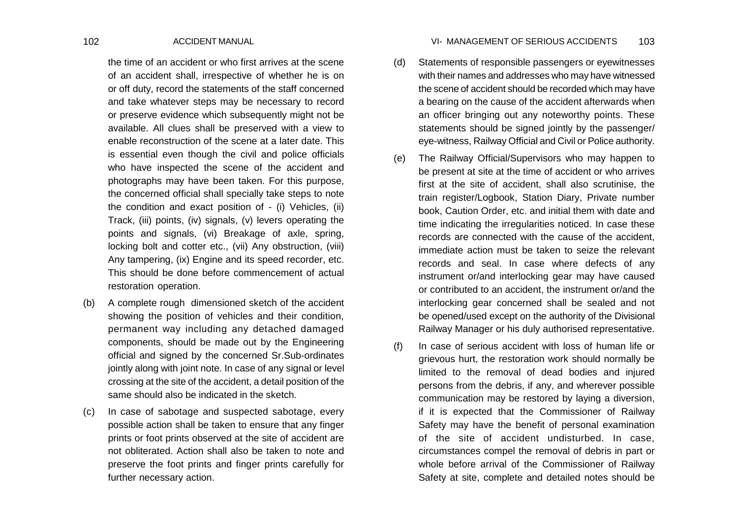the time of an accident or who first arrives at the scene of an accident shall, irrespective of whether he is on or off duty, record the statements of the staff concerned and take whatever steps may be necessary to record or preserve evidence which subsequently might not be available. All clues shall be preserved with a view to enable reconstruction of the scene at a later date. This is essential even though the civil and police officials who have inspected the scene of the accident and photographs may have been taken. For this purpose, the concerned official shall specially take steps to note the condition and exact position of - (i) Vehicles, (ii) Track, (iii) points, (iv) signals, (v) levers operating the points and signals, (vi) Breakage of axle, spring, locking bolt and cotter etc., (vii) Any obstruction, (viii) Any tampering, (ix) Engine and its speed recorder, etc. This should be done before commencement of actual restoration operation.

- (b) A complete rough dimensioned sketch of the accident showing the position of vehicles and their condition, permanent way including any detached damaged components, should be made out by the Engineering official and signed by the concerned Sr.Sub-ordinates jointly along with joint note. In case of any signal or level crossing at the site of the accident, a detail position of the same should also be indicated in the sketch.
- (c) In case of sabotage and suspected sabotage, every possible action shall be taken to ensure that any finger prints or foot prints observed at the site of accident are not obliterated. Action shall also be taken to note and preserve the foot prints and finger prints carefully for further necessary action.

#### 102 ACCIDENT MANUAL 103 VI- MANAGEMENT OF SERIOUS ACCIDENTS

- (d) Statements of responsible passengers or eyewitnesses with their names and addresses who may have witnessed the scene of accident should be recorded which may have a bearing on the cause of the accident afterwards when an officer bringing out any noteworthy points. These statements should be signed jointly by the passenger/ eye-witness, Railway Official and Civil or Police authority.
- (e) The Railway Official/Supervisors who may happen to be present at site at the time of accident or who arrives first at the site of accident, shall also scrutinise, the train register/Logbook, Station Diary, Private number book, Caution Order, etc. and initial them with date and time indicating the irregularities noticed. In case these records are connected with the cause of the accident, immediate action must be taken to seize the relevant records and seal. In case where defects of any instrument or/and interlocking gear may have caused or contributed to an accident, the instrument or/and the interlocking gear concerned shall be sealed and not be opened/used except on the authority of the Divisional Railway Manager or his duly authorised representative.
- (f) In case of serious accident with loss of human life or grievous hurt, the restoration work should normally be limited to the removal of dead bodies and injured persons from the debris, if any, and wherever possible communication may be restored by laying a diversion, if it is expected that the Commissioner of Railway Safety may have the benefit of personal examination of the site of accident undisturbed. In case, circumstances compel the removal of debris in part or whole before arrival of the Commissioner of Railway Safety at site, complete and detailed notes should be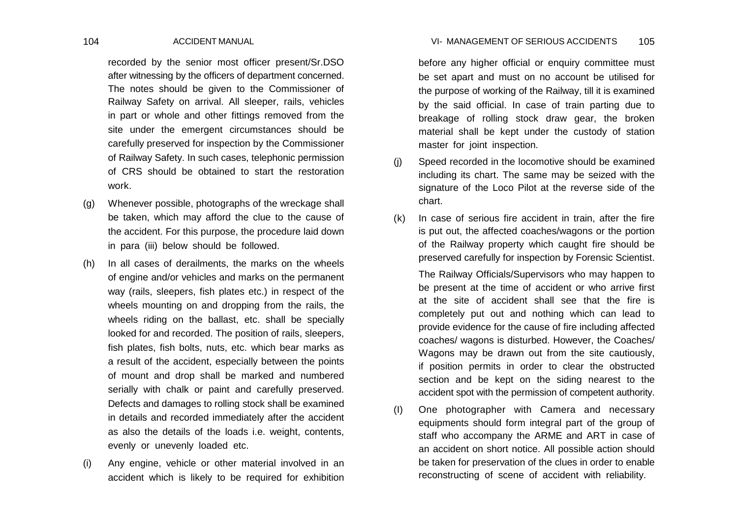recorded by the senior most officer present/Sr.DSO after witnessing by the officers of department concerned. The notes should be given to the Commissioner of Railway Safety on arrival. All sleeper, rails, vehicles in part or whole and other fittings removed from the site under the emergent circumstances should be carefully preserved for inspection by the Commissioner of Railway Safety. In such cases, telephonic permission of CRS should be obtained to start the restoration work.

- (g) Whenever possible, photographs of the wreckage shall be taken, which may afford the clue to the cause of the accident. For this purpose, the procedure laid down in para (iii) below should be followed.
- (h) In all cases of derailments, the marks on the wheels of engine and/or vehicles and marks on the permanent way (rails, sleepers, fish plates etc.) in respect of the wheels mounting on and dropping from the rails, the wheels riding on the ballast, etc. shall be specially looked for and recorded. The position of rails, sleepers, fish plates, fish bolts, nuts, etc. which bear marks as a result of the accident, especially between the points of mount and drop shall be marked and numbered serially with chalk or paint and carefully preserved. Defects and damages to rolling stock shall be examined in details and recorded immediately after the accident as also the details of the loads i.e. weight, contents, evenly or unevenly loaded etc.
- (i) Any engine, vehicle or other material involved in an accident which is likely to be required for exhibition

before any higher official or enquiry committee must be set apart and must on no account be utilised for the purpose of working of the Railway, till it is examined by the said official. In case of train parting due to breakage of rolling stock draw gear, the broken material shall be kept under the custody of station master for joint inspection.

- (j) Speed recorded in the locomotive should be examined including its chart. The same may be seized with the signature of the Loco Pilot at the reverse side of the chart.
- (k) In case of serious fire accident in train, after the fire is put out, the affected coaches/wagons or the portion of the Railway property which caught fire should be preserved carefully for inspection by Forensic Scientist.

The Railway Officials/Supervisors who may happen to be present at the time of accident or who arrive first at the site of accident shall see that the fire is completely put out and nothing which can lead to provide evidence for the cause of fire including affected coaches/ wagons is disturbed. However, the Coaches/ Wagons may be drawn out from the site cautiously, if position permits in order to clear the obstructed section and be kept on the siding nearest to the accident spot with the permission of competent authority.

(I) One photographer with Camera and necessary equipments should form integral part of the group of staff who accompany the ARME and ART in case of an accident on short notice. All possible action should be taken for preservation of the clues in order to enable reconstructing of scene of accident with reliability.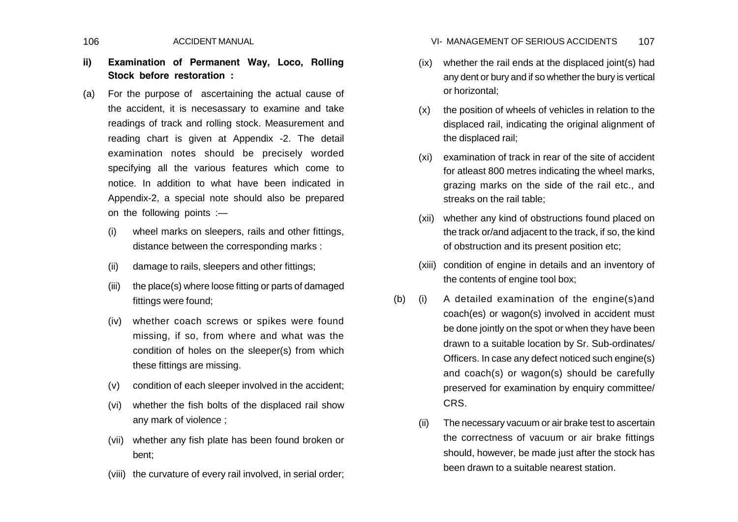# **ii) Examination of Permanent Way, Loco, Rolling Stock before restoration :**

- (a) For the purpose of ascertaining the actual cause of the accident, it is necesassary to examine and take readings of track and rolling stock. Measurement and reading chart is given at Appendix -2. The detail examination notes should be precisely worded specifying all the various features which come to notice. In addition to what have been indicated in Appendix-2, a special note should also be prepared on the following points :—
	- (i) wheel marks on sleepers, rails and other fittings, distance between the corresponding marks :
	- (ii) damage to rails, sleepers and other fittings;
	- (iii) the place(s) where loose fitting or parts of damaged fittings were found;
	- (iv) whether coach screws or spikes were found missing, if so, from where and what was the condition of holes on the sleeper(s) from which these fittings are missing.
	- (v) condition of each sleeper involved in the accident;
	- (vi) whether the fish bolts of the displaced rail show any mark of violence ;
	- (vii) whether any fish plate has been found broken or bent;
	- (viii) the curvature of every rail involved, in serial order;

106 ACCIDENT MANUAL 107 VI- MANAGEMENT OF SERIOUS ACCIDENTS

- (ix) whether the rail ends at the displaced joint(s) had any dent or bury and if so whether the bury is vertical or horizontal;
- (x) the position of wheels of vehicles in relation to the displaced rail, indicating the original alignment of the displaced rail;
- (xi) examination of track in rear of the site of accident for atleast 800 metres indicating the wheel marks, grazing marks on the side of the rail etc., and streaks on the rail table;
- (xii) whether any kind of obstructions found placed on the track or/and adjacent to the track, if so, the kind of obstruction and its present position etc;
- (xiii) condition of engine in details and an inventory of the contents of engine tool box;
- (b) (i) A detailed examination of the engine(s)and coach(es) or wagon(s) involved in accident must be done jointly on the spot or when they have been drawn to a suitable location by Sr. Sub-ordinates/ Officers. In case any defect noticed such engine(s) and coach(s) or wagon(s) should be carefully preserved for examination by enquiry committee/ CRS.
	- (ii) The necessary vacuum or air brake test to ascertain the correctness of vacuum or air brake fittings should, however, be made just after the stock has been drawn to a suitable nearest station.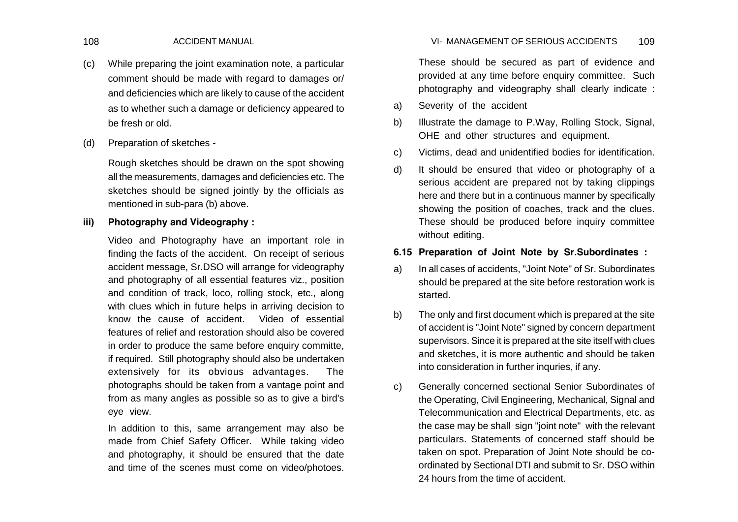- (c) While preparing the joint examination note, a particular comment should be made with regard to damages or/ and deficiencies which are likely to cause of the accident as to whether such a damage or deficiency appeared to be fresh or old.
- (d) Preparation of sketches -

Rough sketches should be drawn on the spot showing all the measurements, damages and deficiencies etc. The sketches should be signed jointly by the officials as mentioned in sub-para (b) above.

## **iii) Photography and Videography :**

Video and Photography have an important role in finding the facts of the accident. On receipt of serious accident message, Sr.DSO will arrange for videography and photography of all essential features viz., position and condition of track, loco, rolling stock, etc., along with clues which in future helps in arriving decision to know the cause of accident. Video of essential features of relief and restoration should also be covered in order to produce the same before enquiry committe, if required. Still photography should also be undertaken extensively for its obvious advantages. The photographs should be taken from a vantage point and from as many angles as possible so as to give a bird's eye view.

In addition to this, same arrangement may also be made from Chief Safety Officer. While taking video and photography, it should be ensured that the date and time of the scenes must come on video/photoes. These should be secured as part of evidence and provided at any time before enquiry committee. Such photography and videography shall clearly indicate :

- a) Severity of the accident
- b) Illustrate the damage to P.Way, Rolling Stock, Signal, OHE and other structures and equipment.
- c) Victims, dead and unidentified bodies for identification.
- d) It should be ensured that video or photography of a serious accident are prepared not by taking clippings here and there but in a continuous manner by specifically showing the position of coaches, track and the clues. These should be produced before inquiry committee without editing.

## **6.15 Preparation of Joint Note by Sr.Subordinates :**

- a) In all cases of accidents, "Joint Note" of Sr. Subordinates should be prepared at the site before restoration work is started.
- b) The only and first document which is prepared at the site of accident is "Joint Note" signed by concern department supervisors. Since it is prepared at the site itself with clues and sketches, it is more authentic and should be taken into consideration in further inquries, if any.
- c) Generally concerned sectional Senior Subordinates of the Operating, Civil Engineering, Mechanical, Signal and Telecommunication and Electrical Departments, etc. as the case may be shall sign "joint note" with the relevant particulars. Statements of concerned staff should be taken on spot. Preparation of Joint Note should be coordinated by Sectional DTI and submit to Sr. DSO within 24 hours from the time of accident.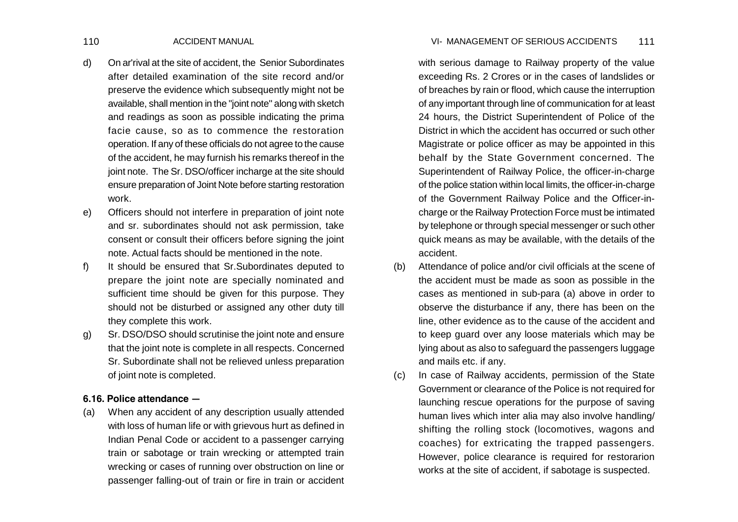- d) On ar'rival at the site of accident, the Senior Subordinates after detailed examination of the site record and/or preserve the evidence which subsequently might not be available, shall mention in the "joint note" along with sketch and readings as soon as possible indicating the prima facie cause, so as to commence the restoration operation. If any of these officials do not agree to the cause of the accident, he may furnish his remarks thereof in the joint note. The Sr. DSO/officer incharge at the site should ensure preparation of Joint Note before starting restoration work.
- e) Officers should not interfere in preparation of joint note and sr. subordinates should not ask permission, take consent or consult their officers before signing the joint note. Actual facts should be mentioned in the note.
- f) It should be ensured that Sr.Subordinates deputed to prepare the joint note are specially nominated and sufficient time should be given for this purpose. They should not be disturbed or assigned any other duty till they complete this work.
- g) Sr. DSO/DSO should scrutinise the joint note and ensure that the joint note is complete in all respects. Concerned Sr. Subordinate shall not be relieved unless preparation of joint note is completed.

## **6.16. Police attendance —**

(a) When any accident of any description usually attended with loss of human life or with grievous hurt as defined in Indian Penal Code or accident to a passenger carrying train or sabotage or train wrecking or attempted train wrecking or cases of running over obstruction on line or passenger falling-out of train or fire in train or accident with serious damage to Railway property of the value exceeding Rs. 2 Crores or in the cases of landslides or of breaches by rain or flood, which cause the interruption of any important through line of communication for at least 24 hours, the District Superintendent of Police of the District in which the accident has occurred or such other Magistrate or police officer as may be appointed in this behalf by the State Government concerned. The Superintendent of Railway Police, the officer-in-charge of the police station within local limits, the officer-in-charge of the Government Railway Police and the Officer-incharge or the Railway Protection Force must be intimated by telephone or through special messenger or such other quick means as may be available, with the details of the accident.

- (b) Attendance of police and/or civil officials at the scene of the accident must be made as soon as possible in the cases as mentioned in sub-para (a) above in order to observe the disturbance if any, there has been on the line, other evidence as to the cause of the accident and to keep guard over any loose materials which may be lying about as also to safeguard the passengers luggage and mails etc. if any.
- (c) In case of Railway accidents, permission of the State Government or clearance of the Police is not required for launching rescue operations for the purpose of saving human lives which inter alia may also involve handling/ shifting the rolling stock (locomotives, wagons and coaches) for extricating the trapped passengers. However, police clearance is required for restorarion works at the site of accident, if sabotage is suspected.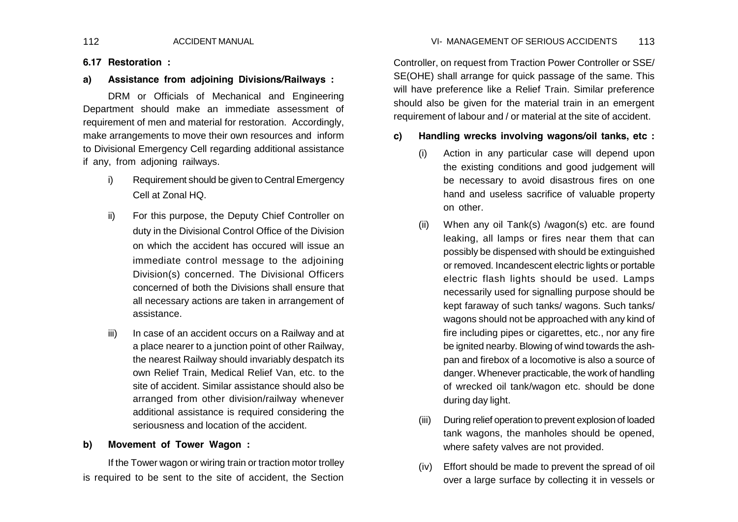## **6.17 Restoration :**

**a) Assistance from adjoining Divisions/Railways :**

DRM or Officials of Mechanical and Engineering Department should make an immediate assessment of requirement of men and material for restoration. Accordingly, make arrangements to move their own resources and inform to Divisional Emergency Cell regarding additional assistance if any, from adjoning railways.

- i) Requirement should be given to Central Emergency Cell at Zonal HQ.
- ii) For this purpose, the Deputy Chief Controller on duty in the Divisional Control Office of the Division on which the accident has occured will issue an immediate control message to the adjoining Division(s) concerned. The Divisional Officers concerned of both the Divisions shall ensure that all necessary actions are taken in arrangement of assistance.
- iii) In case of an accident occurs on a Railway and at a place nearer to a junction point of other Railway, the nearest Railway should invariably despatch its own Relief Train, Medical Relief Van, etc. to the site of accident. Similar assistance should also be arranged from other division/railway whenever additional assistance is required considering the seriousness and location of the accident.

## **b) Movement of Tower Wagon :**

If the Tower wagon or wiring train or traction motor trolley is required to be sent to the site of accident, the Section

Controller, on request from Traction Power Controller or SSE/ SE(OHE) shall arrange for quick passage of the same. This will have preference like a Relief Train. Similar preference should also be given for the material train in an emergent

### **c) Handling wrecks involving wagons/oil tanks, etc :**

requirement of labour and / or material at the site of accident.

- (i) Action in any particular case will depend upon the existing conditions and good judgement will be necessary to avoid disastrous fires on one hand and useless sacrifice of valuable property on other.
- (ii) When any oil Tank(s) /wagon(s) etc. are found leaking, all lamps or fires near them that can possibly be dispensed with should be extinguished or removed. Incandescent electric lights or portable electric flash lights should be used. Lamps necessarily used for signalling purpose should be kept faraway of such tanks/ wagons. Such tanks/ wagons should not be approached with any kind of fire including pipes or cigarettes, etc., nor any fire be ignited nearby. Blowing of wind towards the ashpan and firebox of a locomotive is also a source of danger. Whenever practicable, the work of handling of wrecked oil tank/wagon etc. should be done during day light.
- (iii) During relief operation to prevent explosion of loaded tank wagons, the manholes should be opened, where safety valves are not provided.
- (iv) Effort should be made to prevent the spread of oil over a large surface by collecting it in vessels or

### 112 ACCIDENT MANUAL 113 VI- MANAGEMENT OF SERIOUS ACCIDENTS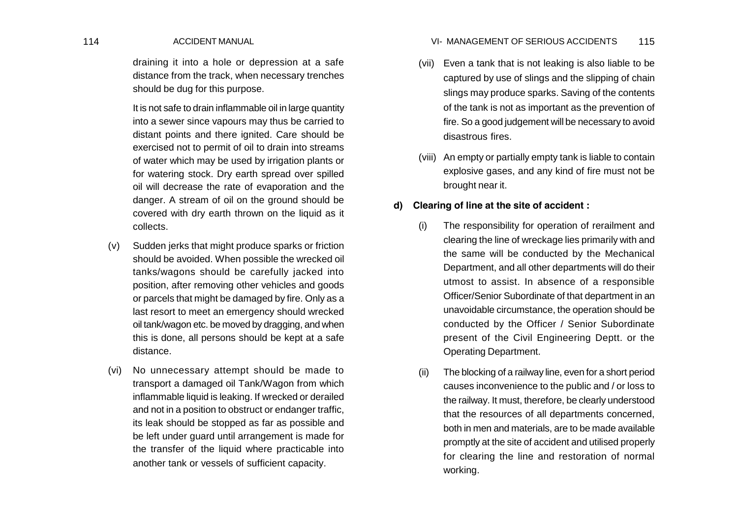draining it into a hole or depression at a safe distance from the track, when necessary trenches should be dug for this purpose.

It is not safe to drain inflammable oil in large quantity into a sewer since vapours may thus be carried to distant points and there ignited. Care should be exercised not to permit of oil to drain into streams of water which may be used by irrigation plants or for watering stock. Dry earth spread over spilled oil will decrease the rate of evaporation and the danger. A stream of oil on the ground should be covered with dry earth thrown on the liquid as it collects.

- (v) Sudden jerks that might produce sparks or friction should be avoided. When possible the wrecked oil tanks/wagons should be carefully jacked into position, after removing other vehicles and goods or parcels that might be damaged by fire. Only as a last resort to meet an emergency should wrecked oil tank/wagon etc. be moved by dragging, and when this is done, all persons should be kept at a safe distance.
- (vi) No unnecessary attempt should be made to transport a damaged oil Tank/Wagon from which inflammable liquid is leaking. If wrecked or derailed and not in a position to obstruct or endanger traffic, its leak should be stopped as far as possible and be left under guard until arrangement is made for the transfer of the liquid where practicable into another tank or vessels of sufficient capacity.

### 114 ACCIDENT MANUAL 115 VI- MANAGEMENT OF SERIOUS ACCIDENTS

- (vii) Even a tank that is not leaking is also liable to be captured by use of slings and the slipping of chain slings may produce sparks. Saving of the contents of the tank is not as important as the prevention of fire. So a good judgement will be necessary to avoid disastrous fires.
- (viii) An empty or partially empty tank is liable to contain explosive gases, and any kind of fire must not be brought near it.

## **d) Clearing of line at the site of accident :**

- (i) The responsibility for operation of rerailment and clearing the line of wreckage lies primarily with and the same will be conducted by the Mechanical Department, and all other departments will do their utmost to assist. In absence of a responsible Officer/Senior Subordinate of that department in an unavoidable circumstance, the operation should be conducted by the Officer / Senior Subordinate present of the Civil Engineering Deptt. or the Operating Department.
- (ii) The blocking of a railway line, even for a short period causes inconvenience to the public and / or loss to the railway. It must, therefore, be clearly understood that the resources of all departments concerned, both in men and materials, are to be made available promptly at the site of accident and utilised properly for clearing the line and restoration of normal working.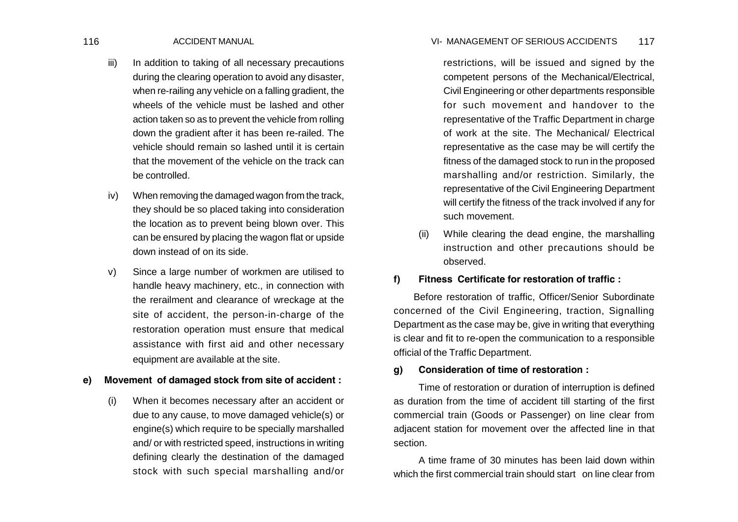- iii) In addition to taking of all necessary precautions during the clearing operation to avoid any disaster, when re-railing any vehicle on a falling gradient, the wheels of the vehicle must be lashed and other action taken so as to prevent the vehicle from rolling down the gradient after it has been re-railed. The vehicle should remain so lashed until it is certain that the movement of the vehicle on the track can be controlled.
- iv) When removing the damaged wagon from the track, they should be so placed taking into consideration the location as to prevent being blown over. This can be ensured by placing the wagon flat or upside down instead of on its side.
- v) Since a large number of workmen are utilised to handle heavy machinery, etc., in connection with the rerailment and clearance of wreckage at the site of accident, the person-in-charge of the restoration operation must ensure that medical assistance with first aid and other necessary equipment are available at the site.

## **e) Movement of damaged stock from site of accident :**

(i) When it becomes necessary after an accident or due to any cause, to move damaged vehicle(s) or engine(s) which require to be specially marshalled and/ or with restricted speed, instructions in writing defining clearly the destination of the damaged stock with such special marshalling and/or

116 ACCIDENT MANUAL 117 VI- MANAGEMENT OF SERIOUS ACCIDENTS

- restrictions, will be issued and signed by the competent persons of the Mechanical/Electrical, Civil Engineering or other departments responsible for such movement and handover to the representative of the Traffic Department in charge of work at the site. The Mechanical/ Electrical representative as the case may be will certify the fitness of the damaged stock to run in the proposed marshalling and/or restriction. Similarly, the representative of the Civil Engineering Department will certify the fitness of the track involved if any for such movement.
- (ii) While clearing the dead engine, the marshalling instruction and other precautions should be observed.

### **f) Fitness Certificate for restoration of traffic :**

 Before restoration of traffic, Officer/Senior Subordinate concerned of the Civil Engineering, traction, Signalling Department as the case may be, give in writing that everything is clear and fit to re-open the communication to a responsible official of the Traffic Department.

### **g) Consideration of time of restoration :**

Time of restoration or duration of interruption is defined as duration from the time of accident till starting of the first commercial train (Goods or Passenger) on line clear from adjacent station for movement over the affected line in that section.

A time frame of 30 minutes has been laid down within which the first commercial train should start on line clear from